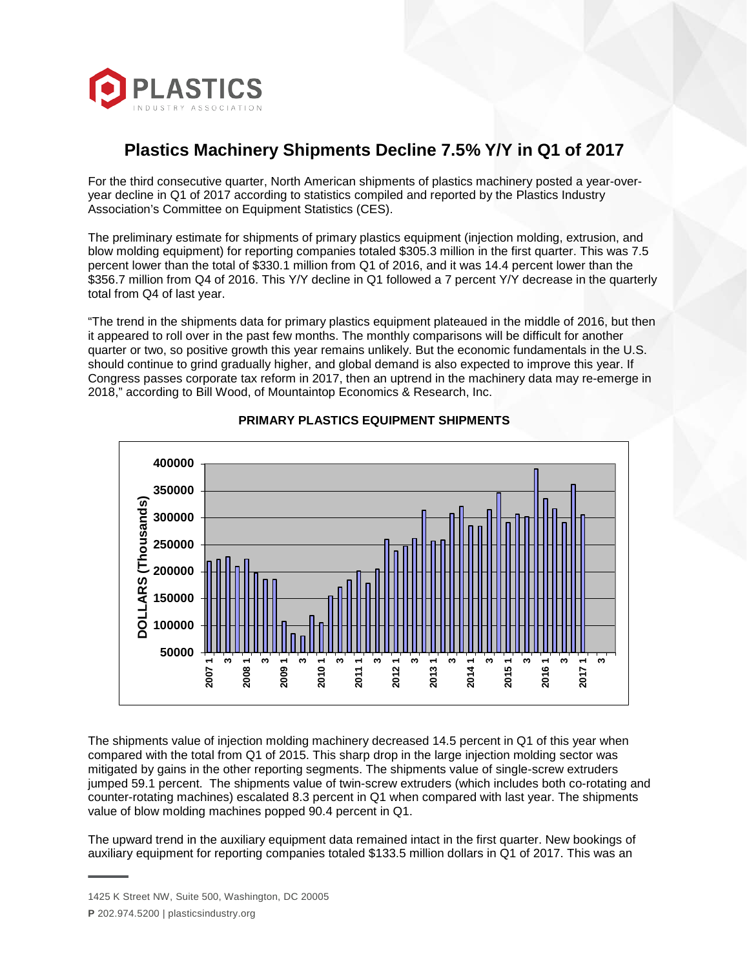

## **Plastics Machinery Shipments Decline 7.5% Y/Y in Q1 of 2017**

For the third consecutive quarter, North American shipments of plastics machinery posted a year-overyear decline in Q1 of 2017 according to statistics compiled and reported by the Plastics Industry Association's Committee on Equipment Statistics (CES).

The preliminary estimate for shipments of primary plastics equipment (injection molding, extrusion, and blow molding equipment) for reporting companies totaled \$305.3 million in the first quarter. This was 7.5 percent lower than the total of \$330.1 million from Q1 of 2016, and it was 14.4 percent lower than the \$356.7 million from Q4 of 2016. This Y/Y decline in Q1 followed a 7 percent Y/Y decrease in the quarterly total from Q4 of last year.

"The trend in the shipments data for primary plastics equipment plateaued in the middle of 2016, but then it appeared to roll over in the past few months. The monthly comparisons will be difficult for another quarter or two, so positive growth this year remains unlikely. But the economic fundamentals in the U.S. should continue to grind gradually higher, and global demand is also expected to improve this year. If Congress passes corporate tax reform in 2017, then an uptrend in the machinery data may re-emerge in 2018," according to Bill Wood, of Mountaintop Economics & Research, Inc.



## **PRIMARY PLASTICS EQUIPMENT SHIPMENTS**

The shipments value of injection molding machinery decreased 14.5 percent in Q1 of this year when compared with the total from Q1 of 2015. This sharp drop in the large injection molding sector was mitigated by gains in the other reporting segments. The shipments value of single-screw extruders jumped 59.1 percent. The shipments value of twin-screw extruders (which includes both co-rotating and counter-rotating machines) escalated 8.3 percent in Q1 when compared with last year. The shipments value of blow molding machines popped 90.4 percent in Q1.

The upward trend in the auxiliary equipment data remained intact in the first quarter. New bookings of auxiliary equipment for reporting companies totaled \$133.5 million dollars in Q1 of 2017. This was an

<sup>1425</sup> K Street NW, Suite 500, Washington, DC 20005

**P** 202.974.5200 | plasticsindustry.org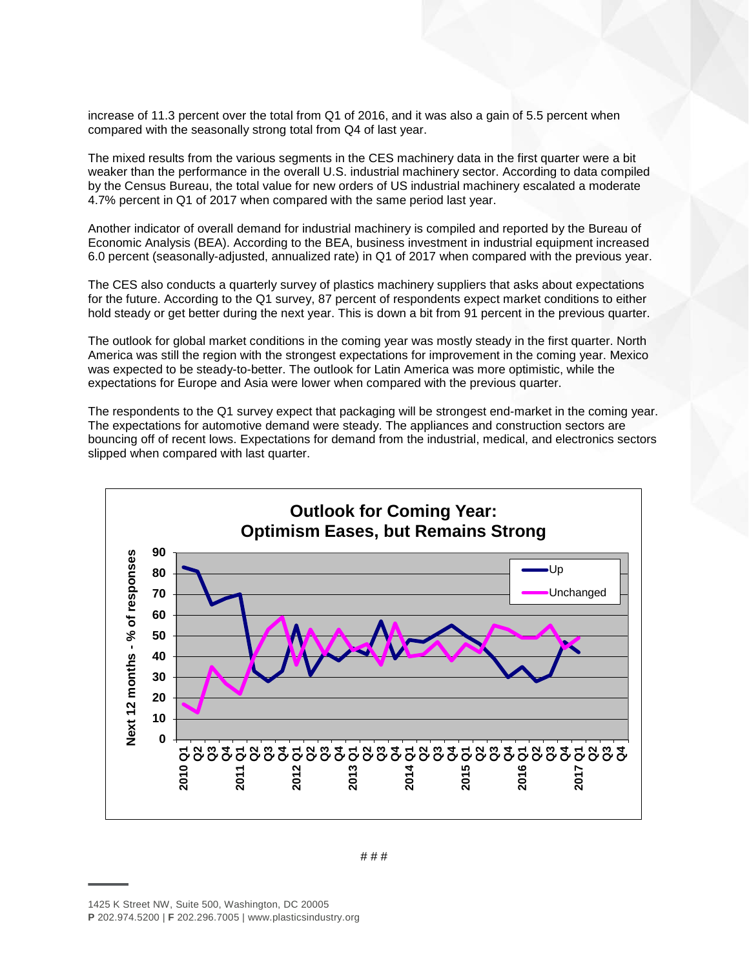increase of 11.3 percent over the total from Q1 of 2016, and it was also a gain of 5.5 percent when compared with the seasonally strong total from Q4 of last year.

The mixed results from the various segments in the CES machinery data in the first quarter were a bit weaker than the performance in the overall U.S. industrial machinery sector. According to data compiled by the Census Bureau, the total value for new orders of US industrial machinery escalated a moderate 4.7% percent in Q1 of 2017 when compared with the same period last year.

Another indicator of overall demand for industrial machinery is compiled and reported by the Bureau of Economic Analysis (BEA). According to the BEA, business investment in industrial equipment increased 6.0 percent (seasonally-adjusted, annualized rate) in Q1 of 2017 when compared with the previous year.

The CES also conducts a quarterly survey of plastics machinery suppliers that asks about expectations for the future. According to the Q1 survey, 87 percent of respondents expect market conditions to either hold steady or get better during the next year. This is down a bit from 91 percent in the previous quarter.

The outlook for global market conditions in the coming year was mostly steady in the first quarter. North America was still the region with the strongest expectations for improvement in the coming year. Mexico was expected to be steady-to-better. The outlook for Latin America was more optimistic, while the expectations for Europe and Asia were lower when compared with the previous quarter.

The respondents to the Q1 survey expect that packaging will be strongest end-market in the coming year. The expectations for automotive demand were steady. The appliances and construction sectors are bouncing off of recent lows. Expectations for demand from the industrial, medical, and electronics sectors slipped when compared with last quarter.



# # #

<sup>1425</sup> K Street NW, Suite 500, Washington, DC 20005

**P** 202.974.5200 | **F** 202.296.7005 | www.plasticsindustry.org